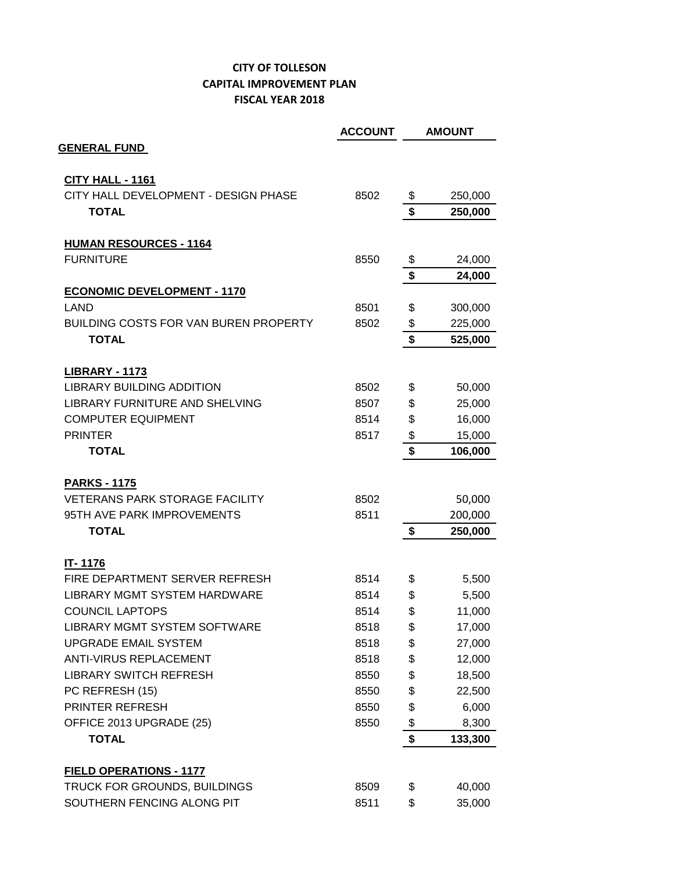## **CITY OF TOLLESON CAPITAL IMPROVEMENT PLAN FISCAL YEAR 2018**

|                                                                | <b>ACCOUNT</b> |          | <b>AMOUNT</b>    |
|----------------------------------------------------------------|----------------|----------|------------------|
| <b>GENERAL FUND</b>                                            |                |          |                  |
| CITY HALL - 1161                                               |                |          |                  |
| CITY HALL DEVELOPMENT - DESIGN PHASE                           | 8502           | \$       | 250,000          |
| <b>TOTAL</b>                                                   |                | \$       | 250,000          |
| <b>HUMAN RESOURCES - 1164</b>                                  |                |          |                  |
| <b>FURNITURE</b>                                               | 8550           | \$       | 24,000           |
|                                                                |                | \$       | 24,000           |
| <b>ECONOMIC DEVELOPMENT - 1170</b>                             |                |          |                  |
| LAND                                                           | 8501           | \$       | 300,000          |
| <b>BUILDING COSTS FOR VAN BUREN PROPERTY</b>                   | 8502           | \$       | 225,000          |
| <b>TOTAL</b>                                                   |                | \$       | 525,000          |
|                                                                |                |          |                  |
| <b>LIBRARY - 1173</b><br><b>LIBRARY BUILDING ADDITION</b>      | 8502           | \$       | 50,000           |
| <b>LIBRARY FURNITURE AND SHELVING</b>                          | 8507           | \$       | 25,000           |
| <b>COMPUTER EQUIPMENT</b>                                      | 8514           | \$       | 16,000           |
| <b>PRINTER</b>                                                 | 8517           | \$       | 15,000           |
| <b>TOTAL</b>                                                   |                | \$       | 106,000          |
|                                                                |                |          |                  |
| <b>PARKS - 1175</b><br><b>VETERANS PARK STORAGE FACILITY</b>   | 8502           |          | 50,000           |
| 95TH AVE PARK IMPROVEMENTS                                     | 8511           |          | 200,000          |
| <b>TOTAL</b>                                                   |                | \$       | 250,000          |
|                                                                |                |          |                  |
| <b>IT-1176</b>                                                 |                |          |                  |
| FIRE DEPARTMENT SERVER REFRESH<br>LIBRARY MGMT SYSTEM HARDWARE | 8514           | \$       | 5,500            |
| <b>COUNCIL LAPTOPS</b>                                         | 8514<br>8514   | \$<br>\$ | 5,500<br>11,000  |
| <b>LIBRARY MGMT SYSTEM SOFTWARE</b>                            | 8518           |          |                  |
| <b>UPGRADE EMAIL SYSTEM</b>                                    | 8518           | \$<br>\$ | 17,000<br>27,000 |
| <b>ANTI-VIRUS REPLACEMENT</b>                                  | 8518           | \$       | 12,000           |
| <b>LIBRARY SWITCH REFRESH</b>                                  | 8550           | \$       | 18,500           |
| PC REFRESH (15)                                                | 8550           | \$       | 22,500           |
| PRINTER REFRESH                                                | 8550           | \$       | 6,000            |
| OFFICE 2013 UPGRADE (25)                                       | 8550           | \$       | 8,300            |
| <b>TOTAL</b>                                                   |                | \$       | 133,300          |
|                                                                |                |          |                  |
| <b>FIELD OPERATIONS - 1177</b>                                 |                |          |                  |
| TRUCK FOR GROUNDS, BUILDINGS                                   | 8509           | \$       | 40,000           |
| SOUTHERN FENCING ALONG PIT                                     | 8511           | \$       | 35,000           |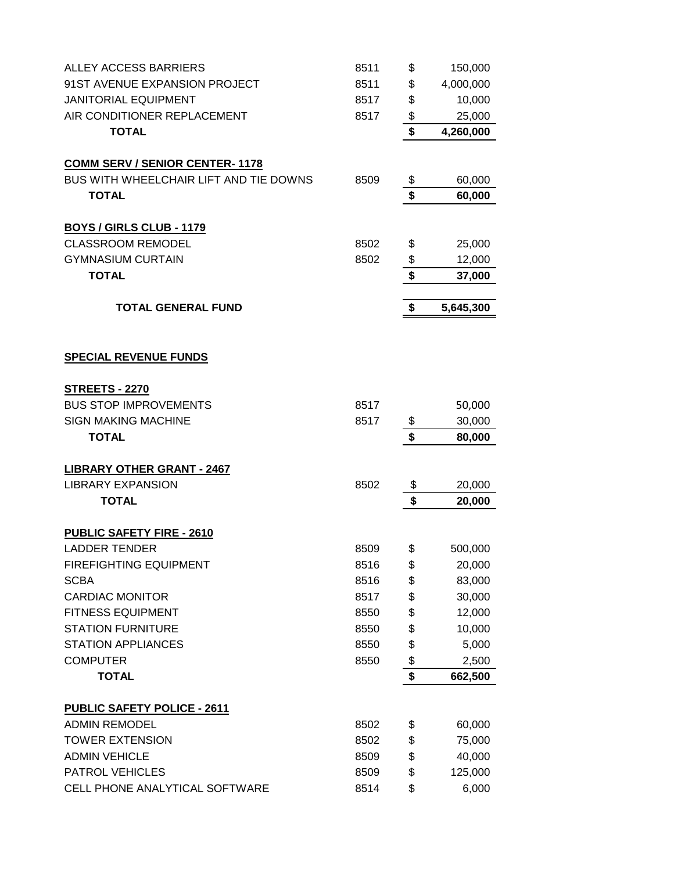| ALLEY ACCESS BARRIERS                  | 8511 | \$                                   | 150,000   |
|----------------------------------------|------|--------------------------------------|-----------|
| 91ST AVENUE EXPANSION PROJECT          | 8511 | \$                                   | 4,000,000 |
| <b>JANITORIAL EQUIPMENT</b>            | 8517 | \$                                   | 10,000    |
| AIR CONDITIONER REPLACEMENT            | 8517 | \$                                   | 25,000    |
| <b>TOTAL</b>                           |      | \$                                   | 4,260,000 |
|                                        |      |                                      |           |
| <b>COMM SERV / SENIOR CENTER-1178</b>  |      |                                      |           |
| BUS WITH WHEELCHAIR LIFT AND TIE DOWNS | 8509 | \$                                   | 60,000    |
| <b>TOTAL</b>                           |      | \$                                   | 60,000    |
| <b>BOYS / GIRLS CLUB - 1179</b>        |      |                                      |           |
| <b>CLASSROOM REMODEL</b>               | 8502 | \$                                   | 25,000    |
| <b>GYMNASIUM CURTAIN</b>               | 8502 | \$                                   | 12,000    |
| <b>TOTAL</b>                           |      | \$                                   | 37,000    |
|                                        |      |                                      |           |
| <b>TOTAL GENERAL FUND</b>              |      | \$                                   | 5,645,300 |
|                                        |      |                                      |           |
|                                        |      |                                      |           |
| <b>SPECIAL REVENUE FUNDS</b>           |      |                                      |           |
| <b>STREETS - 2270</b>                  |      |                                      |           |
| <b>BUS STOP IMPROVEMENTS</b>           | 8517 |                                      | 50,000    |
| <b>SIGN MAKING MACHINE</b>             | 8517 | \$                                   | 30,000    |
| <b>TOTAL</b>                           |      | $\overline{\boldsymbol{\mathsf{s}}}$ | 80,000    |
|                                        |      |                                      |           |
| <b>LIBRARY OTHER GRANT - 2467</b>      |      |                                      |           |
| <b>LIBRARY EXPANSION</b>               | 8502 | \$                                   | 20,000    |
| <b>TOTAL</b>                           |      | \$                                   | 20,000    |
| <b>PUBLIC SAFETY FIRE - 2610</b>       |      |                                      |           |
| <b>LADDER TENDER</b>                   | 8509 | \$                                   | 500,000   |
| <b>FIREFIGHTING EQUIPMENT</b>          | 8516 | \$                                   | 20,000    |
| <b>SCBA</b>                            | 8516 | \$                                   | 83,000    |
| <b>CARDIAC MONITOR</b>                 | 8517 | \$                                   | 30,000    |
| <b>FITNESS EQUIPMENT</b>               | 8550 | \$                                   | 12,000    |
| <b>STATION FURNITURE</b>               | 8550 | \$                                   | 10,000    |
| <b>STATION APPLIANCES</b>              | 8550 | \$                                   | 5,000     |
| <b>COMPUTER</b>                        | 8550 | \$                                   | 2,500     |
| <b>TOTAL</b>                           |      | \$                                   | 662,500   |
|                                        |      |                                      |           |
| <b>PUBLIC SAFETY POLICE - 2611</b>     |      |                                      |           |
| <b>ADMIN REMODEL</b>                   | 8502 | \$                                   | 60,000    |
| <b>TOWER EXTENSION</b>                 | 8502 | \$                                   | 75,000    |
| <b>ADMIN VEHICLE</b>                   | 8509 | \$                                   | 40,000    |
| <b>PATROL VEHICLES</b>                 | 8509 | \$                                   | 125,000   |
| CELL PHONE ANALYTICAL SOFTWARE         | 8514 | \$                                   | 6,000     |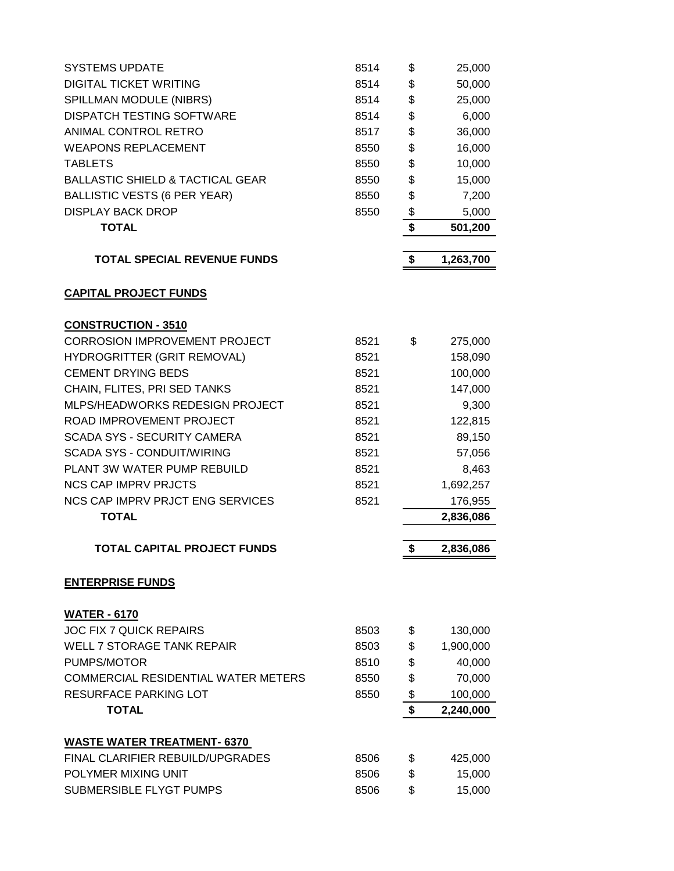| <b>SYSTEMS UPDATE</b>                       | 8514 | \$<br>25,000    |
|---------------------------------------------|------|-----------------|
| <b>DIGITAL TICKET WRITING</b>               | 8514 | \$<br>50,000    |
| SPILLMAN MODULE (NIBRS)                     | 8514 | \$<br>25,000    |
| <b>DISPATCH TESTING SOFTWARE</b>            | 8514 | \$<br>6,000     |
| ANIMAL CONTROL RETRO                        | 8517 | \$<br>36,000    |
| <b>WEAPONS REPLACEMENT</b>                  | 8550 | \$<br>16,000    |
| <b>TABLETS</b>                              | 8550 | \$<br>10,000    |
| <b>BALLASTIC SHIELD &amp; TACTICAL GEAR</b> | 8550 | \$<br>15,000    |
| <b>BALLISTIC VESTS (6 PER YEAR)</b>         | 8550 | \$<br>7,200     |
| <b>DISPLAY BACK DROP</b>                    | 8550 | \$<br>5,000     |
| <b>TOTAL</b>                                |      | \$<br>501,200   |
| <b>TOTAL SPECIAL REVENUE FUNDS</b>          |      | \$<br>1,263,700 |
| <b>CAPITAL PROJECT FUNDS</b>                |      |                 |
| <b>CONSTRUCTION - 3510</b>                  |      |                 |
| <b>CORROSION IMPROVEMENT PROJECT</b>        | 8521 | \$<br>275,000   |
| <b>HYDROGRITTER (GRIT REMOVAL)</b>          | 8521 | 158,090         |
| <b>CEMENT DRYING BEDS</b>                   | 8521 | 100,000         |
| CHAIN, FLITES, PRI SED TANKS                | 8521 | 147,000         |
| MLPS/HEADWORKS REDESIGN PROJECT             | 8521 | 9,300           |
| ROAD IMPROVEMENT PROJECT                    | 8521 | 122,815         |
| <b>SCADA SYS - SECURITY CAMERA</b>          | 8521 | 89,150          |
| <b>SCADA SYS - CONDUIT/WIRING</b>           | 8521 | 57,056          |
| PLANT 3W WATER PUMP REBUILD                 | 8521 | 8,463           |
| <b>NCS CAP IMPRV PRJCTS</b>                 | 8521 | 1,692,257       |
| <b>NCS CAP IMPRV PRJCT ENG SERVICES</b>     | 8521 | 176,955         |
| <b>TOTAL</b>                                |      | 2,836,086       |
|                                             |      |                 |
| <b>TOTAL CAPITAL PROJECT FUNDS</b>          |      | \$<br>2,836,086 |
| <b>ENTERPRISE FUNDS</b>                     |      |                 |
| <b>WATER - 6170</b>                         |      |                 |
| <b>JOC FIX 7 QUICK REPAIRS</b>              | 8503 | \$<br>130,000   |
| <b>WELL 7 STORAGE TANK REPAIR</b>           | 8503 | \$<br>1,900,000 |
| PUMPS/MOTOR                                 | 8510 | \$<br>40,000    |
| COMMERCIAL RESIDENTIAL WATER METERS         | 8550 | \$<br>70,000    |
| <b>RESURFACE PARKING LOT</b>                | 8550 | \$<br>100,000   |
| <b>TOTAL</b>                                |      | \$<br>2,240,000 |
| <b>WASTE WATER TREATMENT- 6370</b>          |      |                 |
| FINAL CLARIFIER REBUILD/UPGRADES            | 8506 | \$<br>425,000   |
| POLYMER MIXING UNIT                         | 8506 | \$<br>15,000    |
| SUBMERSIBLE FLYGT PUMPS                     | 8506 | \$<br>15,000    |